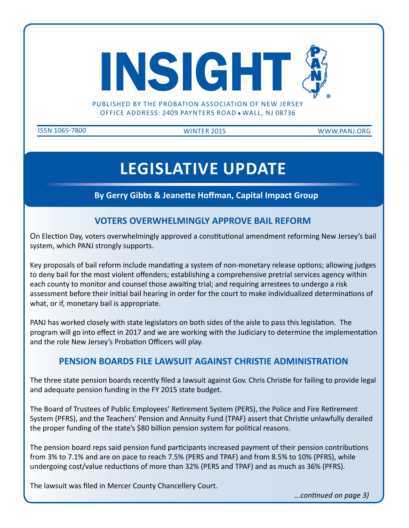

PUBLISHED BY THE PROBATION ASSOCIATION OF NEW JERSEY OFFICE ADDRESS: 2409 PAYNTERS ROAD . WALL, NJ 08736

issn 1065-7800 WINTER 2015 www.panj.org

## **legislative update**

**By Gerry Gibbs & Jeanette Hoffman, Capital Impact Group**

## **VOTERS OVERWHELMINGLY APPROVE BAIL REFORM**

On Election Day, voters overwhelmingly approved a constitutional amendment reforming New Jersey's bail system, which PANJ strongly supports.

Key proposals of bail reform include mandating a system of non-monetary release options; allowing judges to deny bail for the most violent offenders; establishing a comprehensive pretrial services agency within each county to monitor and counsel those awaiting trial; and requiring arrestees to undergo a risk assessment before their initial bail hearing in order for the court to make individualized determinations of what, or if, monetary bail is appropriate.

PANJ has worked closely with state legislators on both sides of the aisle to pass this legislation. The program will go into effect in 2017 and we are working with the Judiciary to determine the implementation and the role New Jersey's Probation Officers will play.

#### **PENSION BOARDS FILE LAWSUIT AGAINST CHRISTIE ADMINISTRATION**

The three state pension boards recently filed a lawsuit against Gov. Chris Christie for failing to provide legal and adequate pension funding in the FY 2015 state budget.

The Board of Trustees of Public Employees' Retirement System (PERS), the Police and Fire Retirement System (PFRS), and the Teachers' Pension and Annuity Fund (TPAF) assert that Christie unlawfully derailed the proper funding of the state's \$80 billion pension system for political reasons.

The pension board reps said pension fund participants increased payment of their pension contributions from 3% to 7.1% and are on pace to reach 7.5% (PERS and TPAF) and from 8.5% to 10% (PFRS), while undergoing cost/value reductions of more than 32% (PERS and TPAF) and as much as 36% (PFRS).

The lawsuit was filed in Mercer County Chancellery Court.

*...continued on page 3)*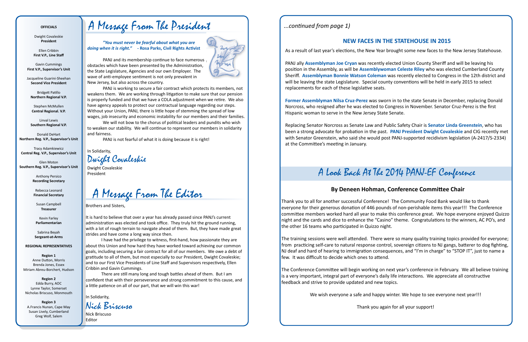*"You must never be fearful about what you are doing when it is right."* **- Rosa Parks, Civil Rights Activist**



PANJ and its membership continue to face numerous obstacles which have been presented by the Administration, the State Legislature, Agencies and our own Employer. The wave of anti-employee sentiment is not only prevalent in New Jersey, but also across the country.

PANJ is working to secure a fair contract which protects its members, not weakens them. We are working through litigation to make sure that our pension is properly funded and that we have a COLA adjustment when we retire. We also have agency appeals to protect our contractual language regarding our steps. Without your Union, PANJ, there is little hope of stemming the spread of low wages, job insecurity and economic instability for our members and their families.

We will not bow to the chorus of political leaders and pundits who wish to weaken our stability. We will continue to represent our members in solidarity and fairness.

PANJ is not fearful of what it is doing because it is right!

In Solidarity,

Dwight Covaleskie President

#### **OFFICIALS**

Dwight Covaleskie **President**

Ellen Cribbin **First V.P., Line Staff**

Gavin Cummings **First V.P., Supervisor's Unit**

Jacqueline Guarini-Sheehan **Second Vice President**

Bridgett Patillo **Northern Regional V.P.**

Stephen McMullen **Central Regional. V.P.**

Linval Lewis **Southern Regional V.P.**

Donald DeHart **Northern Reg. V.P., Supervisor's Unit**

Tracy Adamkiewicz **Central Reg. V.P., Supervisor's Unit**

Glen Moton **Southern Reg. V.P., Supervisor's Unit**

> Anthony Persico **Recording Secretary**

Rebecca Leonard **Financial Secretary**

Susan Campbell **Treasurer**

Kevin Farley **Parliamentarian**

Sabrina Beyah **Sergeant-at-Arms**

**REGIONAL REPRESENTATIVES**

**Region 1** Anne Dutton, Morris Brenda Jones, Essex Miriam Abreu-Borchert, Hudson

**Region 2** Edda Burry, AOC Lynne Taylor, Somerset Nicholas Briscuso, Monmouth

**Region 3** A.Francis Nunan, Cape May Susan Lively, Cumberland Greg Wolf, Salem

## A Message From The President

Dwight Covaleskie

A Message From The Editor

Brothers and Sisters,

It is hard to believe that over a year has already passed since PANJ's current administration was elected and took office. They truly hit the ground running, with a lot of rough terrain to navigate ahead of them. But, they have made great strides and have come a long way since then.

 I have had the privilege to witness, first-hand, how passionate they are about this Union and how hard they have worked toward achieving our common goals, including securing a fair contract for all of our members. We owe a debt of gratitude to all of them, but most especially to our President, Dwight Covaleskie; and to our First Vice Presidents of Line Staff and Supervisors respectively, Ellen Cribbin and Gavin Cummings.

There are still many long and tough battles ahead of them. But I am confident that with their perseverance and strong commitment to this cause, and a little patience on all of our part, that we will win this war!

In Solidarity,

Nick Briscuso Editor

Nick Briscuso

*...continued from page 1)*

As a result of last year's elections, the New Year brought some new faces to the New Jersey Statehouse.

PANJ ally **Assemblyman Joe Cryan** was recently elected Union County Sheriff and will be leaving his position in the Assembly, as will be **Assemblywoman Celeste Riley** who was elected Cumberland County Sheriff. **Assemblyman Bonnie Watson Coleman** was recently elected to Congress in the 12th district and will be leaving the state Legislature. Special county conventions will be held in early 2015 to select replacements for each of these legislative seats.

**Former Assemblyman Nilsa Cruz-Perez** was sworn in to the state Senate in December, replacing Donald Norcross, who resigned after he was elected to Congress in November. Senator Cruz-Perez is the first Hispanic woman to serve in the New Jersey State Senate.

Replacing Senator Norcross as Senate Law and Public Safety Chair is **Senator Linda Greenstein**, who has been a strong advocate for probation in the past. **PANJ President Dwight Covaleskie** and CIG recently met with Senator Greenstein, who said she would post PANJ-supported recidivism legislation (A-2417/S-2334) at the Committee's meeting in January.

## **NEW FACES IN THE STATEHOUSE IN 2015**

## A Look Back At The 2014 PANJ-EF Conference

Thank you to all for another successful Conference! The Community Food Bank would like to thank everyone for their generous donation of 446 pounds of non-perishable items this year!!! The Conference committee members worked hard all year to make this conference great. We hope everyone enjoyed Quizzo night and the cards and dice to enhance the "Casino" theme. Congratulations to the winners, AC PO's, and the other 16 teams who participated in Quizzo night.

The training sessions were well attended. There were so many quality training topics provided for everyone; from practicing self-care to natural response control, sovereign citizens to NJ gangs, batterer to dog fighting, NJ deaf and hard of hearing to immigration consequences, and "I'm in charge" to "STOP IT", just to name a few. It was difficult to decide which ones to attend.

The Conference Committee will begin working on next year's conference in February. We all believe training is a very important, integral part of everyone's daily life interactions. We appreciate all constructive feedback and strive to provide updated and new topics.

We wish everyone a safe and happy winter. We hope to see everyone next year!!!

Thank you again for all your support!

## **By Deneen Hohman, Conference Committee Chair**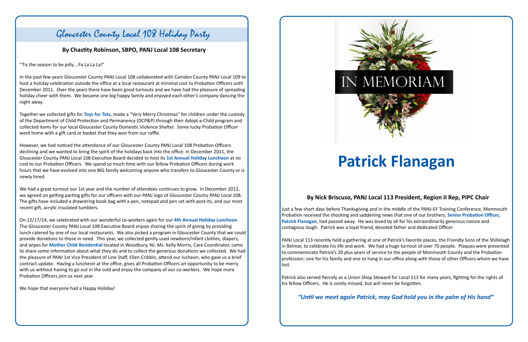## Gloucester County Local 108 Holiday Party

**By Chastity Robinson, SBPO, PANJ Local 108 Secretary**

Just a few short days before Thanksgiving and in the middle of the PANJ-EF Training Conference, Monmouth Probation received the shocking and saddening news that one of our brothers, **Senior Probation Officer, Patrick Flanagan**, had passed away. He was loved by all for his extraordinarily generous nature and contagious laugh. Patrick was a loyal friend, devoted father and dedicated Officer.

PANJ Local 113 recently held a gathering at one of Patrick's favorite places, the Friendly Sons of the Shillelagh in Belmar, to celebrate his life and work. We had a huge turnout of over 70 people. Plaques were presented to commemorate Patrick's 20 plus years of service to the people of Monmouth County and the Probation profession; one for his family and one to hang in our office along with those of other Officers whom we have lost.

Patrick also served fiercely as a Union Shop Steward for Local 113 for many years, fighting for the rights of his fellow Officers. He is sorely missed, but will never be forgotten.

*"Until we meet again Patrick, may God hold you in the palm of His hand"*

"Tis the season to be jolly....Fa La La La!"

In the past few years Gloucester County PANJ Local 108 collaborated with Camden County PANJ Local 109 to host a holiday celebration outside the office at a local restaurant at minimal cost to Probation Officers until December 2011. Over the years there have been good turnouts and we have had the pleasure of spreading holiday cheer with them. We became one big happy family and enjoyed each other's company dancing the night away.

Together we collected gifts for **Toys for Tots**, made a "Very Merry Christmas" for children under the custody of the Department of Child Protection and Permanency (DCP&P) through their Adopt-a-Child program and collected items for our local Gloucester County Domestic Violence Shelter. Some lucky Probation Officer went home with a gift card or basket that they won from our raffle.

However, we had noticed the attendance of our Gloucester County PANJ Local 108 Probation Officers declining and we wanted to bring the spirit of the holidays back into the office. In December 2011, the Gloucester County PANJ Local 108 Executive Board decided to host its **1st Annual Holiday Luncheon** at no cost to our Probation Officers. We spend so much time with our fellow Probation Officers during work hours that we have evolved into one BIG family welcoming anyone who transfers to Gloucester County or is newly hired.

We had a great turnout our 1st year and the number of attendees continues to grow. In December 2012, we agreed on getting parting gifts for our officers with our PANJ logo of Gloucester County PANJ Local 108. The gifts have included a drawstring book bag with a pen, notepad and pen set with post-its, and our most recent gift, acrylic insulated tumblers.

On 12/17/14, we celebrated with our wonderful co-workers again for our **4th Annual Holiday Luncheon**. The Gloucester County PANJ Local 108 Executive Board enjoys sharing the spirit of giving by providing lunch catered by one of our local restaurants. We also picked a program in Gloucester County that we could provide donations to those in need. This year, we collected gently used newborn/infant clothes, diapers, and wipes for **Mother Child Residential** located in Woodbury, NJ. Ms. Kelly Morris, Care Coordinator, came to share some information about what they do and to collect the generous donations we collected. We had the pleasure of PANJ 1st Vice President of Line Staff, Ellen Cribbin, attend our lucheon, who gave us a brief contract update. Having a luncheon at the office, gives all Probation Officers an opportunity to be merry with us without having to go out in the cold and enjoy the company of our co-workers. We hope more Probation Officers join us next year.

We hope that everyone had a Happy Holiday!



## **By Nick Briscuso, PANJ Local 113 President, Region II Rep, PIPC Chair**

# **Patrick Flanagan**